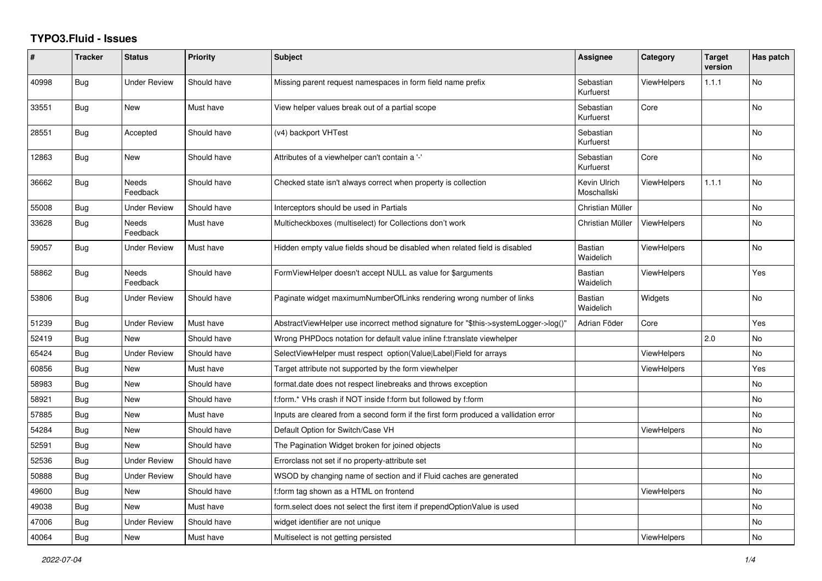## **TYPO3.Fluid - Issues**

| #     | <b>Tracker</b> | <b>Status</b>       | <b>Priority</b> | <b>Subject</b>                                                                       | Assignee                    | Category           | <b>Target</b><br>version | Has patch |
|-------|----------------|---------------------|-----------------|--------------------------------------------------------------------------------------|-----------------------------|--------------------|--------------------------|-----------|
| 40998 | Bug            | <b>Under Review</b> | Should have     | Missing parent request namespaces in form field name prefix                          | Sebastian<br>Kurfuerst      | <b>ViewHelpers</b> | 1.1.1                    | No        |
| 33551 | Bug            | New                 | Must have       | View helper values break out of a partial scope                                      | Sebastian<br>Kurfuerst      | Core               |                          | No        |
| 28551 | Bug            | Accepted            | Should have     | (v4) backport VHTest                                                                 | Sebastian<br>Kurfuerst      |                    |                          | <b>No</b> |
| 12863 | Bug            | New                 | Should have     | Attributes of a viewhelper can't contain a '-'                                       | Sebastian<br>Kurfuerst      | Core               |                          | <b>No</b> |
| 36662 | Bug            | Needs<br>Feedback   | Should have     | Checked state isn't always correct when property is collection                       | Kevin Ulrich<br>Moschallski | <b>ViewHelpers</b> | 1.1.1                    | <b>No</b> |
| 55008 | <b>Bug</b>     | Under Review        | Should have     | Interceptors should be used in Partials                                              | Christian Müller            |                    |                          | No        |
| 33628 | <b>Bug</b>     | Needs<br>Feedback   | Must have       | Multicheckboxes (multiselect) for Collections don't work                             | Christian Müller            | <b>ViewHelpers</b> |                          | No        |
| 59057 | <b>Bug</b>     | <b>Under Review</b> | Must have       | Hidden empty value fields shoud be disabled when related field is disabled           | <b>Bastian</b><br>Waidelich | <b>ViewHelpers</b> |                          | <b>No</b> |
| 58862 | Bug            | Needs<br>Feedback   | Should have     | FormViewHelper doesn't accept NULL as value for \$arguments                          | <b>Bastian</b><br>Waidelich | <b>ViewHelpers</b> |                          | Yes       |
| 53806 | Bug            | <b>Under Review</b> | Should have     | Paginate widget maximumNumberOfLinks rendering wrong number of links                 | <b>Bastian</b><br>Waidelich | Widgets            |                          | <b>No</b> |
| 51239 | Bug            | <b>Under Review</b> | Must have       | AbstractViewHelper use incorrect method signature for "\$this->systemLogger->log()'  | Adrian Föder                | Core               |                          | Yes       |
| 52419 | <b>Bug</b>     | New                 | Should have     | Wrong PHPDocs notation for default value inline f:translate viewhelper               |                             |                    | 2.0                      | <b>No</b> |
| 65424 | <b>Bug</b>     | <b>Under Review</b> | Should have     | SelectViewHelper must respect option(Value Label)Field for arrays                    |                             | <b>ViewHelpers</b> |                          | No        |
| 60856 | Bug            | New                 | Must have       | Target attribute not supported by the form viewhelper                                |                             | ViewHelpers        |                          | Yes       |
| 58983 | Bug            | New                 | Should have     | format.date does not respect linebreaks and throws exception                         |                             |                    |                          | <b>No</b> |
| 58921 | <b>Bug</b>     | New                 | Should have     | f:form.* VHs crash if NOT inside f:form but followed by f:form                       |                             |                    |                          | No        |
| 57885 | Bug            | New                 | Must have       | Inputs are cleared from a second form if the first form produced a vallidation error |                             |                    |                          | No        |
| 54284 | Bug            | <b>New</b>          | Should have     | Default Option for Switch/Case VH                                                    |                             | <b>ViewHelpers</b> |                          | <b>No</b> |
| 52591 | Bug            | New                 | Should have     | The Pagination Widget broken for joined objects                                      |                             |                    |                          | <b>No</b> |
| 52536 | Bug            | <b>Under Review</b> | Should have     | Errorclass not set if no property-attribute set                                      |                             |                    |                          |           |
| 50888 | Bug            | <b>Under Review</b> | Should have     | WSOD by changing name of section and if Fluid caches are generated                   |                             |                    |                          | No        |
| 49600 | <b>Bug</b>     | New                 | Should have     | f:form tag shown as a HTML on frontend                                               |                             | ViewHelpers        |                          | No        |
| 49038 | <b>Bug</b>     | New                 | Must have       | form select does not select the first item if prependOptionValue is used             |                             |                    |                          | No        |
| 47006 | Bug            | <b>Under Review</b> | Should have     | widget identifier are not unique                                                     |                             |                    |                          | No        |
| 40064 | <b>Bug</b>     | New                 | Must have       | Multiselect is not getting persisted                                                 |                             | ViewHelpers        |                          | <b>No</b> |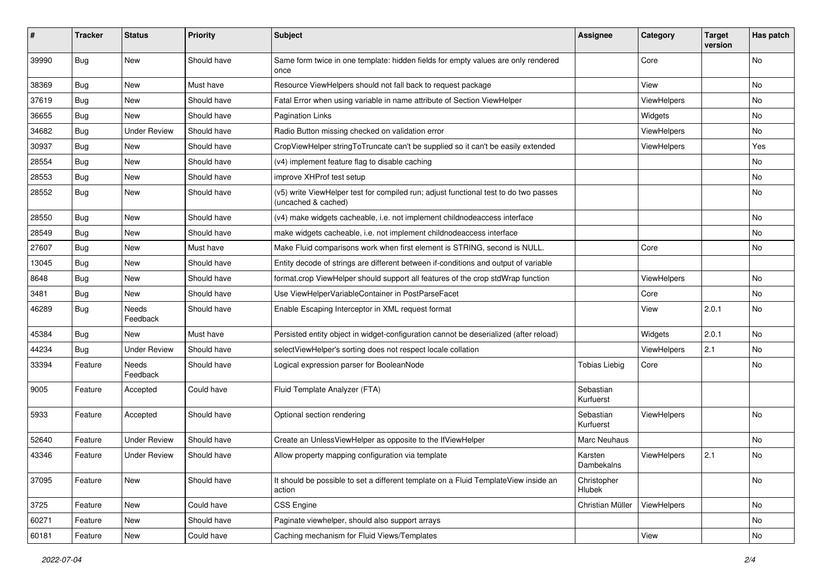| ∦     | <b>Tracker</b> | <b>Status</b>       | <b>Priority</b> | Subject                                                                                                     | <b>Assignee</b>        | Category    | <b>Target</b><br>version | Has patch |
|-------|----------------|---------------------|-----------------|-------------------------------------------------------------------------------------------------------------|------------------------|-------------|--------------------------|-----------|
| 39990 | Bug            | New                 | Should have     | Same form twice in one template: hidden fields for empty values are only rendered<br>once                   |                        | Core        |                          | No        |
| 38369 | Bug            | New                 | Must have       | Resource ViewHelpers should not fall back to request package                                                |                        | View        |                          | No        |
| 37619 | Bug            | <b>New</b>          | Should have     | Fatal Error when using variable in name attribute of Section ViewHelper                                     |                        | ViewHelpers |                          | No        |
| 36655 | Bug            | New                 | Should have     | <b>Pagination Links</b>                                                                                     |                        | Widgets     |                          | No        |
| 34682 | <b>Bug</b>     | <b>Under Review</b> | Should have     | Radio Button missing checked on validation error                                                            |                        | ViewHelpers |                          | No.       |
| 30937 | Bug            | New                 | Should have     | CropViewHelper stringToTruncate can't be supplied so it can't be easily extended                            |                        | ViewHelpers |                          | Yes       |
| 28554 | Bug            | New                 | Should have     | (v4) implement feature flag to disable caching                                                              |                        |             |                          | No        |
| 28553 | Bug            | New                 | Should have     | improve XHProf test setup                                                                                   |                        |             |                          | No        |
| 28552 | Bug            | New                 | Should have     | (v5) write ViewHelper test for compiled run; adjust functional test to do two passes<br>(uncached & cached) |                        |             |                          | No        |
| 28550 | Bug            | New                 | Should have     | (v4) make widgets cacheable, i.e. not implement childnodeaccess interface                                   |                        |             |                          | No        |
| 28549 | Bug            | New                 | Should have     | make widgets cacheable, i.e. not implement childnodeaccess interface                                        |                        |             |                          | No        |
| 27607 | <b>Bug</b>     | New                 | Must have       | Make Fluid comparisons work when first element is STRING, second is NULL.                                   |                        | Core        |                          | No        |
| 13045 | <b>Bug</b>     | New                 | Should have     | Entity decode of strings are different between if-conditions and output of variable                         |                        |             |                          |           |
| 8648  | Bug            | New                 | Should have     | format.crop ViewHelper should support all features of the crop stdWrap function                             |                        | ViewHelpers |                          | No        |
| 3481  | Bug            | New                 | Should have     | Use ViewHelperVariableContainer in PostParseFacet                                                           |                        | Core        |                          | No        |
| 46289 | Bug            | Needs<br>Feedback   | Should have     | Enable Escaping Interceptor in XML request format                                                           |                        | View        | 2.0.1                    | No        |
| 45384 | <b>Bug</b>     | <b>New</b>          | Must have       | Persisted entity object in widget-configuration cannot be deserialized (after reload)                       |                        | Widgets     | 2.0.1                    | <b>No</b> |
| 44234 | Bug            | <b>Under Review</b> | Should have     | selectViewHelper's sorting does not respect locale collation                                                |                        | ViewHelpers | 2.1                      | No        |
| 33394 | Feature        | Needs<br>Feedback   | Should have     | Logical expression parser for BooleanNode                                                                   | <b>Tobias Liebig</b>   | Core        |                          | No        |
| 9005  | Feature        | Accepted            | Could have      | Fluid Template Analyzer (FTA)                                                                               | Sebastian<br>Kurfuerst |             |                          |           |
| 5933  | Feature        | Accepted            | Should have     | Optional section rendering                                                                                  | Sebastian<br>Kurfuerst | ViewHelpers |                          | No        |
| 52640 | Feature        | <b>Under Review</b> | Should have     | Create an UnlessViewHelper as opposite to the IfViewHelper                                                  | Marc Neuhaus           |             |                          | No        |
| 43346 | Feature        | <b>Under Review</b> | Should have     | Allow property mapping configuration via template                                                           | Karsten<br>Dambekalns  | ViewHelpers | 2.1                      | No        |
| 37095 | Feature        | New                 | Should have     | It should be possible to set a different template on a Fluid TemplateView inside an<br>action               | Christopher<br>Hlubek  |             |                          | No        |
| 3725  | Feature        | New                 | Could have      | CSS Engine                                                                                                  | Christian Müller       | ViewHelpers |                          | No        |
| 60271 | Feature        | New                 | Should have     | Paginate viewhelper, should also support arrays                                                             |                        |             |                          | No        |
| 60181 | Feature        | New                 | Could have      | Caching mechanism for Fluid Views/Templates                                                                 |                        | View        |                          | No        |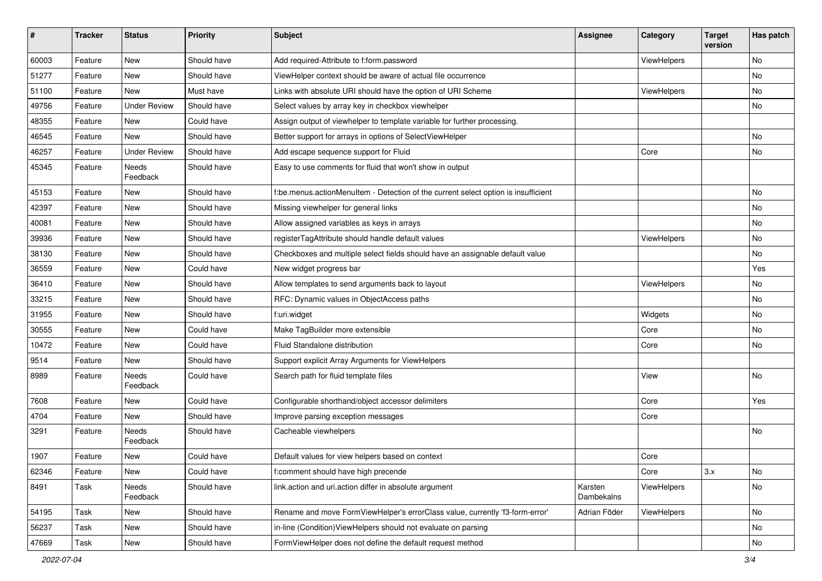| $\sharp$ | <b>Tracker</b> | <b>Status</b>       | <b>Priority</b> | Subject                                                                            | <b>Assignee</b>       | Category    | <b>Target</b><br>version | Has patch |
|----------|----------------|---------------------|-----------------|------------------------------------------------------------------------------------|-----------------------|-------------|--------------------------|-----------|
| 60003    | Feature        | New                 | Should have     | Add required-Attribute to f:form.password                                          |                       | ViewHelpers |                          | <b>No</b> |
| 51277    | Feature        | New                 | Should have     | ViewHelper context should be aware of actual file occurrence                       |                       |             |                          | No        |
| 51100    | Feature        | New                 | Must have       | Links with absolute URI should have the option of URI Scheme                       |                       | ViewHelpers |                          | No        |
| 49756    | Feature        | <b>Under Review</b> | Should have     | Select values by array key in checkbox viewhelper                                  |                       |             |                          | <b>No</b> |
| 48355    | Feature        | New                 | Could have      | Assign output of viewhelper to template variable for further processing.           |                       |             |                          |           |
| 46545    | Feature        | <b>New</b>          | Should have     | Better support for arrays in options of SelectViewHelper                           |                       |             |                          | No        |
| 46257    | Feature        | <b>Under Review</b> | Should have     | Add escape sequence support for Fluid                                              |                       | Core        |                          | No        |
| 45345    | Feature        | Needs<br>Feedback   | Should have     | Easy to use comments for fluid that won't show in output                           |                       |             |                          |           |
| 45153    | Feature        | New                 | Should have     | f:be.menus.actionMenuItem - Detection of the current select option is insufficient |                       |             |                          | No        |
| 42397    | Feature        | New                 | Should have     | Missing viewhelper for general links                                               |                       |             |                          | No        |
| 40081    | Feature        | New                 | Should have     | Allow assigned variables as keys in arrays                                         |                       |             |                          | No        |
| 39936    | Feature        | New                 | Should have     | registerTagAttribute should handle default values                                  |                       | ViewHelpers |                          | No        |
| 38130    | Feature        | <b>New</b>          | Should have     | Checkboxes and multiple select fields should have an assignable default value      |                       |             |                          | No        |
| 36559    | Feature        | New                 | Could have      | New widget progress bar                                                            |                       |             |                          | Yes       |
| 36410    | Feature        | New                 | Should have     | Allow templates to send arguments back to layout                                   |                       | ViewHelpers |                          | No        |
| 33215    | Feature        | New                 | Should have     | RFC: Dynamic values in ObjectAccess paths                                          |                       |             |                          | No        |
| 31955    | Feature        | New                 | Should have     | f:uri.widget                                                                       |                       | Widgets     |                          | No        |
| 30555    | Feature        | New                 | Could have      | Make TagBuilder more extensible                                                    |                       | Core        |                          | No        |
| 10472    | Feature        | New                 | Could have      | Fluid Standalone distribution                                                      |                       | Core        |                          | No        |
| 9514     | Feature        | New                 | Should have     | Support explicit Array Arguments for ViewHelpers                                   |                       |             |                          |           |
| 8989     | Feature        | Needs<br>Feedback   | Could have      | Search path for fluid template files                                               |                       | View        |                          | No        |
| 7608     | Feature        | New                 | Could have      | Configurable shorthand/object accessor delimiters                                  |                       | Core        |                          | Yes       |
| 4704     | Feature        | New                 | Should have     | Improve parsing exception messages                                                 |                       | Core        |                          |           |
| 3291     | Feature        | Needs<br>Feedback   | Should have     | Cacheable viewhelpers                                                              |                       |             |                          | <b>No</b> |
| 1907     | Feature        | New                 | Could have      | Default values for view helpers based on context                                   |                       | Core        |                          |           |
| 62346    | Feature        | New                 | Could have      | f:comment should have high precende                                                |                       | Core        | 3.x                      | No        |
| 8491     | Task           | Needs<br>Feedback   | Should have     | link.action and uri.action differ in absolute argument                             | Karsten<br>Dambekalns | ViewHelpers |                          | No        |
| 54195    | Task           | New                 | Should have     | Rename and move FormViewHelper's errorClass value, currently 'f3-form-error'       | Adrian Föder          | ViewHelpers |                          | No        |
| 56237    | Task           | New                 | Should have     | in-line (Condition) ViewHelpers should not evaluate on parsing                     |                       |             |                          | No        |
| 47669    | Task           | New                 | Should have     | FormViewHelper does not define the default request method                          |                       |             |                          | No        |